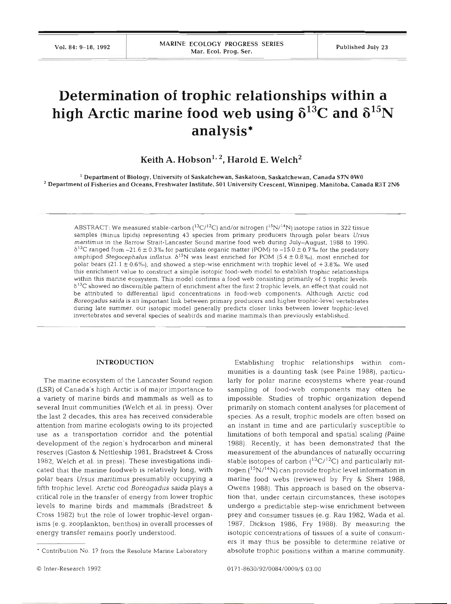# **Determination of trophic relationships within a**  high Arctic marine food web using  $\delta^{13}$ C and  $\delta^{15}$ N **analysis** \*

# $\text{Keith A. Hobson}^{1,2}$ . **Harold E. Welch**<sup>2</sup>

' Department of Biology. University of Saskatchewan, Saskatoon, Saskatchewan. Canada **S7N** OWO  $^2$  Department of Fisheries and Oceans, Freshwater Institute, 501 University Crescent, Winnipeg, Manitoba, Canada R3T 2N6

ABSTRACT: We measured stable-carbon  $(^{13}C^{12}C)$  and/or nitrogen  $(^{15}N^{14}N)$  isotope ratios in 322 tissue samples (minus lipids) representing 43 species from primary producers through polar bears *Ursus maritimus* in the Barrow Strait-Lancaster Sound marine food web during July-August, 1988 to 1990.  $\delta^{13}$ C ranged from -21.6 ± 0.3% for particulate organic matter (POM) to -15.0 ± 0.7% for the predatory amphipod *Stegocephalus inflatus.*  $\delta^{15}N$  was least enriched for POM (5.4 ± 0.8%), most enriched for polar bears (21.1 ± 0.6%), and showed a step-wise enrichment with trophic level of +3.8%. We used this enrichment value to construct a simple isotopic food-web model to establish trophic relationships within this marine ecosystem. This model confirms a food web consisting primarily of 5 trophic levels.  $\delta^{13}$ C showed no discernible pattern of enrichment after the first 2 trophic levels, an effect that could not be attributed to differential lipid concentrations in food-web components. Although Arctic cod *Boreogadus saida* is an important link between primary producers and higher trophic-level vertebrates during late summer, our isotopic model generally predicts closer links between lower trophic-level invertebrates and several species of seabirds and marine mammals than previously established.

### **INTRODUCTION**

The marine ecosystem of the Lancaster Sound region (LSR) of Canada's high Arctic is of major importance to a variety of marine birds and mammals as well as to several Inuit communities (Welch et al. in press). Over the last 2 decades, this area has received considerable attention from marine ecologists owing to its projected use as a transportation corridor and the potential development of the region's hydrocarbon and mineral reserves (Gaston & Nettleship 1981, Bradstreet & Cross 1982, Welch et al. in press). These investigations indicated that the marine foodweb is relatively long, with polar bears *Ursus maritimus* presumably occupying a fifth trophic level. Arctic cod *Boreogadus saida* plays a critical role in the transfer of energy from lower trophic levels to marine birds and mammals (Bradstreet & Cross 1982) but the role of lower trophic-level organisms (e.g. zooplankton, benthos) in overall processes of energy transfer remains poorly understood.

munities is a daunting task (see Paine 1988), particularly for polar marine ecosystems where year-round sampling of food-web components may often be impossible. Studies of trophic organization depend primarily on stomach content analyses for placement of species. As a result, trophic models are often based on an instant in time and are particularly susceptible to limitations of both temporal and spatial scaling (Paine 1988). Recently, it has been demonstrated that the measurement of the abundances of naturally occurring stable isotopes of carbon  $(^{13}C/^{12}C)$  and particularly nitrogen  $(^{15}N/^{14}N)$  can provide trophic level information in marine food webs (reviewed by Fry & Sherr 1988, Owens 1988). This approach is based on the observation that, under certain circumstances, these isotopes undergo a predictable step-wise enrichment between prey and consumer tissues (e.g. Rau 1982, Wada et al. 1987, Dickson 1986, Fry 1988). By measuring the isotopic concentrations of tissues of a suite of consumers it may thus be possible to determine relative or absolute trophic positions within a marine community.

Establishing trophic relationships within com-

Contribution No. 17 from the Resolute Marine Laboratory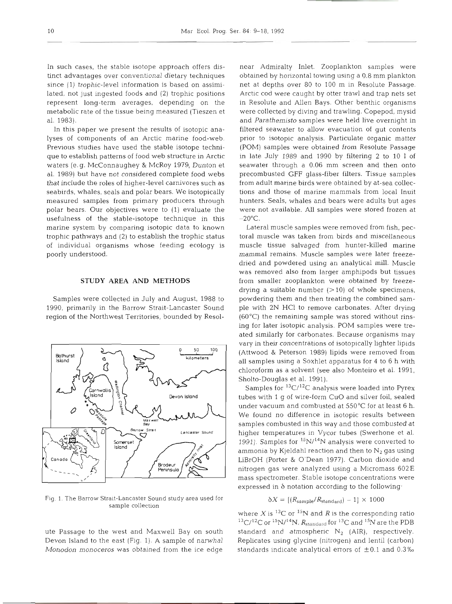In such cases, the stable isotope approach offers distinct advantages over conventional dietary techniques since (1) trophic-level information is based on assimilated, not just ingested foods and (2) trophic positions represent long-term averages, depending on the metabolic rate of the tissue being measured (Tieszen et al. 1983).

In this paper we present the results of isotopic analyses of components of an Arctic marine food-web. Previous studies have used the stable isotope technique to establish patterns of food web structure in Arctic waters (e.g. McConnaughey & McRoy 1979, Dunton et al. 1989) but have not considered complete food webs that include the roles of higher-level carnivores such as seabirds, whales, seals and polar bears. We isotopically measured samples from primary producers through polar bears. Our objectives were to (1) evaluate the usefulness of the stable-isotope technique in this marine system by comparing isotopic data to known trophic pathways and (2) to establish the trophic status of individual organisms whose feeding ecology is poorly understood.

#### **STUDY AREA AND METHODS**

Samples were collected in July and August, 1988 to 1990, primarily in the Barrow Strait-Lancaster Sound region of the Northwest Territories, bounded by Resol-



Fig. 1. The Barrow Strait-Lancaster Sound study area used for sample collection

ute Passage to the west and Maxwell Bay on south Devon Island to the east (Fig. 1). A sample of narwhal *Monodon monoceros* was obtained from the ice edge near Admiralty Inlet. Zooplankton samples were obtained by horizontal towing using a 0.8 mm plankton net at depths over 80 to 100 m in Resolute Passage. Arctic cod were caught by otter trawl and trap nets set in Resolute and Allen Bays. Other benthic organisms were collected by diving and trawling. Copepod, mysid and *Parathemisto* samples were held live overnight in filtered seawater to allow evacuation of gut contents prior to isotopic analysis. Particulate organic matter (POM) samples were obtained from Resolute Passage in late July 1989 and 1990 by filtering 2 to 10 1 of seawater through a 0.06 mm screen and then onto precombusted GFF glass-fiber filters. Tissue samples from adult marine birds were obtained by at-sea collections and those of marine mammals from local Inuit hunters. Seals, whales and bears were adults but ages were not available. All samples were stored frozen at  $-20^{\circ}$ C.

<sup>60</sup> <sup>100</sup> (Attwood & Peterson 1989) lipids were removed from Lateral muscle samples were removed from fish, pectoral muscle was taken from birds and miscellaneous muscle tissue salvaged from hunter-killed marine mammal remains. Muscle samples were later freezedried and powdered using an analytical mill. Muscle was removed also from larger amphipods but tissues from smaller zooplankton were obtained by freezedrying a suitable number  $(>10)$  of whole specimens, powdering them and then treating the combined sample with 2N HCl to remove carbonates. After drying (60°C) the remaining sample was stored without rinsing for later isotopic analysis. POM samples were treated similarly for carbonates. Because organisms may vary in their concentrations of isotopically lighter lipids all samples using a Soxhlet apparatus for 4 to 6 h with chloroform as a solvent (see also Monteiro et al. 1991, Sholto-Douglas et al. 1991).

> Samples for  ${}^{13}C/{}^{12}C$  analysis were loaded into Pyrex tubes with 1 g of wire-form CuO and silver foil, sealed under vacuum and combusted at 550°C for at least 6 h. We found no difference in isotopic results between samples combusted in this way and those combusted at higher temperatures in Vycor tubes (Swerhone et al. 1991). Samples for  $^{15}N/^{14}N$  analysis were converted to ammonia by Kjeldahl reaction and then to  $N_2$  gas using LiBrOH (Porter & O'Dean 1977). Carbon dioxide and nitrogen gas were analyzed using a Micromass 602E mass spectrometer. Stable isotope concentrations were expressed in *b* notation according to the following.

$$
\delta X = \left[ \left( R_{\text{sample}} / R_{\text{standard}} \right) - 1 \right] \times 1000
$$

where  $X$  is <sup>13</sup>C or <sup>15</sup>N and  $R$  is the corresponding ratio <sup>13</sup>C/<sup>12</sup>C or <sup>15</sup>N/<sup>14</sup>N. *R*<sub>standard</sub> for <sup>13</sup>C and <sup>15</sup>N are the PDB standard and atmospheric  $N_2$  (AIR), respectively. Replicates using glycine (nitrogen) and lentil (carbon) standards indicate analytical errors of  $\pm 0.1$  and 0.3%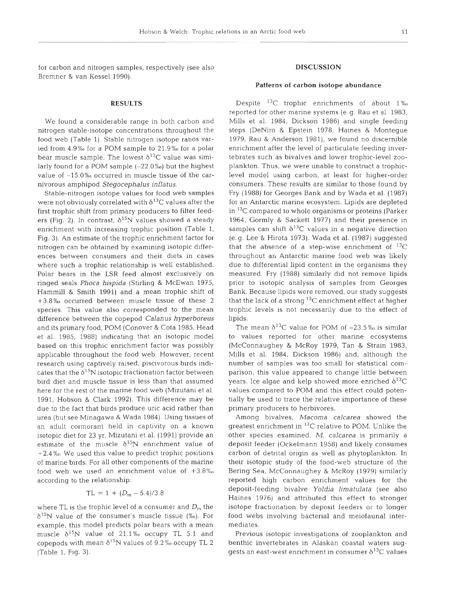for carbon and nitrogen samples, respectively (see also Bremner & van Kessel 1990).

# **RESULTS**

We found a considerable range in both carbon and nitrogen stable-isotope concentrations throughout the food web (Table 1). Stable nitrogen isotope ratios varied from 4.9% for a POM sample to 21.9% for a polar bear muscle sample. The lowest  $\delta^{13}C$  value was similarly found for a POM sample  $(-22.0\%)$  but the highest value of  $-15.0\%$  occurred in muscle tissue of the carnivorous amphipod *Stegocephalus inflatus.* 

Stable-nitrogen isotope values for food web samples were not obviously correlated with  $\delta^{13}$ C values after the first trophic shift from primary producers to filter feeders (Fig. 2). In contrast,  $\delta^{15}N$  values showed a steady enrichment with increasing trophic position (Table 1, Fig. 3). An estimate of the trophic enrichment factor for nitrogen can be obtained by examining isotopic differences between consumers and their diets in cases where such a trophic relationship is well established. Polar bears in the LSR feed almost exclusively on ringed seals *Phoca hispida* (Stirling & McEwan 1975, Hammill & Smith 1991) and a mean trophic shift of  $+3.8\%$  occurred between muscle tissue of these 2 species. This value also corresponded to the mean dfference between the copepod *Calanus hyperboreus*  and its primary food, POM (Conover & Cota 1985, Head et al. 1985, 1988) indicating that an isotopic model based on this trophic enrichment factor was possibly applicable throughout the food web. However, recent research using captively raised, piscivorous birds indicates that the  $\delta^{15}N$  isotopic fractionation factor between bird diet and muscle tissue is less than that assumed here for the rest of the marine food web (Mizutani et al. 1991, Hobson & Clark 1992). This difference may be due to the fact that birds produce uric acid rather than urea (but see Minagawa & Wada 1984). Using tissues of an adult cormorant held in captivity on a known isotopic diet for 23 yr, Mizutani et al. (1991) provide an estimate of the muscle  $\delta^{15}N$  enrichment value of  $+2.4$  %. We used this value to predict trophic positions of marine birds. For all other components of the marine food web we used an enrichment value of  $+3.8\%$ according to the relationship:

$$
TL = 1 + (D_m - 5.4)/3.8
$$

where TL is the trophic level of a consumer and  $D<sub>m</sub>$  the  $\delta^{15}$ N value of the consumer's muscle tissue (‰). For example, this model predicts polar bears with a mean muscle  $\delta^{15}N$  value of 21.1% occupy TL 5.1 and copepods with mean  $\delta^{15}N$  values of 9.2‰ occupy TL 2 (Table 1, Fig. 3).

#### **DISCUSSION**

## Patterns of carbon isotope abundance

Despite <sup>13</sup>C trophic enrichments of about 1% reported for other marine systems (e.g. Rau et al. 1983, Mills et al. 1984, Dickson 1986) and single feeding steps (DeNiro & Epstein 1978, Haines & Montegue 1979, Rau & Anderson 1981), we found no discernible enrichment after the level of particulate feeding invertebrates such as bivalves and lower trophic-level zooplankton. Thus, we were unable to construct a trophiclevel model using carbon, at least for higher-order consumers. These results are similar to those found by Fry (1988) for Georges Bank and by Wada et al. (1987) for an Antarctic marine ecosystem. Lipids are depleted in  $^{13}$ C compared to whole organisms or proteins (Parker 1964, Gormly & Sackett 1977) and their presence in samples can shift  $\delta^{13}C$  values in a negative direction (e.g. Lee & Hirota 1973). Wada et al. (1987) suggested that the absence of a step-wise enrichment of  $^{13}C$ throughout an Antarctic marine food web was likely due to differential lipid content in the organisms they measured. Fry (1988) similarly did not remove lipids prior to isotopic analysis of samples from Georges Bank. Because lipids were removed, our study suggests that the lack of a strong  $^{13}$ C enrichment effect at higher trophic levels is not necessarily due to the effect of lipids.

The mean  $\delta^{13}$ C value for POM of  $-23.5\%$  is similar to values reported for other marine ecosystems (McConnaughey & McRoy 1979, Tan & Strain 1983, Mills et al. 1984, Dickson 1986) and, although the number of samples was too small for statistical comparison, this value appeared to change little between years. Ice algae and kelp showed more enriched  $\delta^{13}\text{C}$ values compared to POM and this effect could potentially be used to trace the relative importance of these primary producers to herbivores.

Among bivalves, *Macorna calcarea* showed the greatest enrichment in <sup>13</sup>C relative to POM. Unlike the other species examined, *M. calcarea* is primarily a deposit feeder (Ockelmann 1958) and likely consumes carbon of detrital origin as well as phytoplankton. In their isotopic study of the food-web structure of the Bering Sea, McConnaughey & McRoy (1979) similarly reported high carbon enrichment values for the deposit-feeding bivalve *Yoldia lin~atulata* (see also Haines 1976) and attributed this effect to stronger isotope fractionation by deposit feeders or to longer food webs involving bacterial and meiofaunal intermediates.

Previous isotopic investigations of zooplankton and benthic invertebrates in Alaskan coastal waters suggests an east-west enrichment in consumer  $\delta^{13}$ C values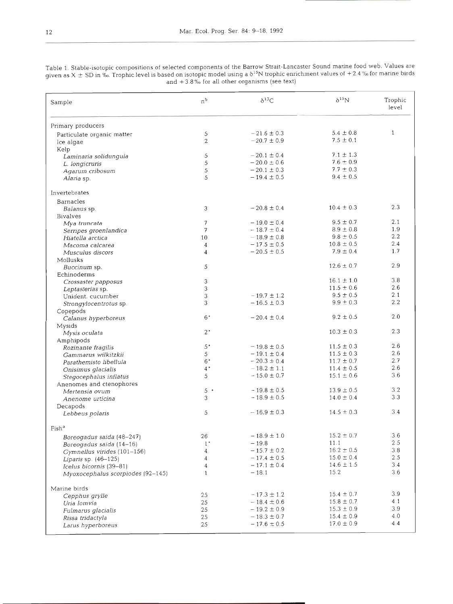| Sample                                                       | $n^{\mathsf{b}}$                  | $\delta^{13}C$  | $\delta^{15}N$ | Trophic<br>level |
|--------------------------------------------------------------|-----------------------------------|-----------------|----------------|------------------|
| Primary producers                                            |                                   |                 |                |                  |
| Particulate organic matter                                   | 5                                 | $-21.6 \pm 0.3$ | $5.4 \pm 0.8$  | $\mathbf{1}$     |
| Ice algae                                                    | 2                                 | $-20.7 \pm 0.9$ | $7.5 \pm 0.1$  |                  |
| Kelp                                                         |                                   |                 |                |                  |
| Laminaria solidungula                                        | 5                                 | $-20.1 \pm 0.4$ | $7.1 \pm 1.3$  |                  |
| L. longicruris                                               | $\,$ 5 $\,$                       | $-20.0 \pm 0.6$ | $7.6 \pm 0.9$  |                  |
| Agarum cribosum                                              | 5                                 | $-20.1 \pm 0.3$ | $7.7 \pm 0.3$  |                  |
| Alaria sp.                                                   | 5                                 | $-19.4 \pm 0.5$ | $9.4 \pm 0.5$  |                  |
| Invertebrates                                                |                                   |                 |                |                  |
| Barnacles                                                    |                                   |                 |                |                  |
| Balanus sp.                                                  | 3                                 | $-20.8 \pm 0.4$ | $10.4 \pm 0.3$ | 2.3              |
| <b>Bivalves</b>                                              |                                   |                 |                |                  |
| Mya truncata                                                 | 7                                 | $-19.0 \pm 0.4$ | $9.5 \pm 0.7$  | 2.1              |
| Serripes groenlandica                                        | 7                                 | $-18.7 \pm 0.4$ | $8.9 \pm 0.8$  | 1.9              |
| Hiatella arctica                                             | 10                                | $-18.9 \pm 0.8$ | $9.8 \pm 0.5$  | 2.2              |
| Macoma calcarea                                              | 4                                 | $-17.5 \pm 0.5$ | $10.8 \pm 0.5$ | 2.4              |
| Musculus discors                                             | 4                                 | $-20.5 \pm 0.5$ | $7.9 \pm 0.4$  | 1.7              |
| Mollusks                                                     |                                   |                 |                |                  |
| Buccinum sp.                                                 | 5                                 |                 | $12.6 \pm 0.7$ | 2.9              |
| Echinoderms                                                  |                                   |                 |                |                  |
| Crossaster papposus                                          | 3                                 |                 | $16.1 \pm 1.0$ | 3.8              |
| Leptasterias sp.                                             | 3                                 |                 | $11.5 \pm 0.6$ | 2.6              |
| Unident. cucumber                                            | 3                                 | $-19.7 \pm 1.2$ | $9.5 \pm 0.5$  | 2.1              |
| Strongylocentrotus sp.                                       | 3                                 | $-16.5 \pm 0.3$ | $9.9 \pm 0.3$  | 2.2              |
| Copepods                                                     |                                   |                 |                |                  |
| Calanus hyperboreus                                          | 6"                                | $-20.4 \pm 0.4$ | $9.2 \pm 0.5$  | 2.0              |
| Mysids                                                       |                                   |                 |                |                  |
| Mysis oculata                                                | $2^{\bullet}$                     |                 | $10.3 \pm 0.3$ | 2.3              |
| Amphipods                                                    |                                   |                 |                |                  |
| Rozinante fragilis                                           | $5^{\,\scriptscriptstyle\bullet}$ | $-19.8 \pm 0.5$ | $11.5 \pm 0.3$ | 2.6              |
|                                                              | 5                                 | $-19.1 \pm 0.4$ | $11.5 \pm 0.3$ | 2.6              |
| Gammarus wilkitzkii                                          | $6^{\bullet}$                     | $-20.3 \pm 0.4$ | $11.7 \pm 0.7$ | 2.7              |
| Parathemisto libellula                                       | $4^{\bullet}$                     | $-18.2 \pm 1.1$ | $11.4 \pm 0.5$ | 2.6              |
| Onisimus glacialis                                           | 5                                 | $-15.0 \pm 0.7$ | $15.1 \pm 0.6$ | 3.6              |
| Stegocephalus inflatus                                       |                                   |                 |                |                  |
| Anenomes and ctenophores                                     |                                   |                 | $13.9 \pm 0.5$ | 3.2              |
| Mertensia ovum                                               | $5 -$                             | $-19.8 \pm 0.5$ |                | 3.3              |
| Anenome urticina                                             | 3                                 | $-18.9 \pm 0.5$ | $14.0 \pm 0.4$ |                  |
| Decapods<br>Lebbeus polaris                                  | 5                                 | $-16.9 \pm 0.3$ | $14.5 \pm 0.3$ | 3.4              |
| $\mathrm{Fish}^\mathrm{a}$                                   |                                   |                 |                |                  |
| Boreogadus saida (48-247)                                    | 26                                | $-18.9 \pm 1.0$ | $15.2\pm0.7$   | 3.6              |
| Boreogadus saida (14-16)                                     | $1^{\bullet}$                     | $-19.8$         | 11.1           | 2.5              |
| Gymnellus virides (101-156)                                  | 4                                 | $-15.7 \pm 0.2$ | $16.2 \pm 0.5$ | 3.8              |
|                                                              | 4                                 | $-17.4 \pm 0.5$ | $15.0 \pm 0.4$ | 2.5              |
| Liparis sp. $(46-125)$                                       | 4                                 | $-17.1 \pm 0.4$ | $14.6 \pm 1.5$ | 3.4              |
| Icelus bicornis (39-81)<br>Myoxocephalus scorpiodes (92-145) | $\mathbf{1}$                      | $-18.1$         | 15.2           | 3.6              |
| Marine birds                                                 |                                   |                 |                |                  |
| Cepphus grylle                                               | 25                                | $-17.3 \pm 1.2$ | $15.4 \pm 0.7$ | 3.9              |
| Uria lomvia                                                  | 25                                | $-18.4 \pm 0.6$ | $15.8 \pm 0.7$ | 4.1              |
| Fulmarus glacialis                                           | 25                                | $-19.2 \pm 0.9$ | $15.3 \pm 0.9$ | 3.9              |
| Rissa tridactyla                                             | 25                                | $-18.3 \pm 0.7$ | $15.4 \pm 0.9$ | 4.0              |
| Larus hyperboreus                                            | 25                                | $-17.6 \pm 0.5$ | $17.0 \pm 0.9$ | 4.4              |

Table 1. Stable-isotopic compositions of selected components of the Barrow Strait-Lancaster Sound marine for given as  $X + SD$  in  $\%$ . Trophic level is based on isotopic model using a  $\delta^{15}N$  trophic enrichment values of  $+2$ . and  $+3.8\%$  for all other organisms (see the text)

Larus hyperboreus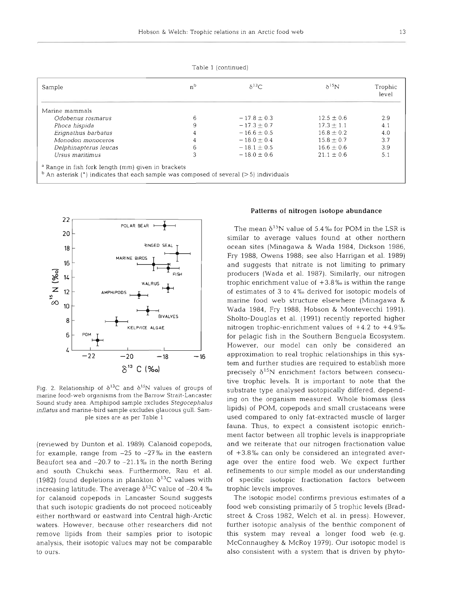| Sample                | $n^{b}$ | $\delta^{13}C$  | $\delta^{15}$ N | Trophic<br>level |
|-----------------------|---------|-----------------|-----------------|------------------|
| Marine mammals        |         |                 |                 |                  |
| Odobenus rosmarus     | 6       | $-17.8 + 0.3$   | $12.5 + 0.6$    | 2.9              |
| Phoca hispida         | 9       | $-17.3 \pm 0.7$ | $17.3 \pm 1.1$  | 4.1              |
| Erignathus barbatus   | 4       | $-16.6 \pm 0.5$ | $16.8 \pm 0.2$  | 4.0              |
| Monodon monoceros     |         | $-18.0 \pm 0.4$ | $15.8 \pm 0.7$  | 3.7              |
| Delphinapterus leucas | 6       | $-18.1 \pm 0.5$ | $16.6 \pm 0.6$  | 3.9              |
| Ursus maritimus       |         | $-18.0 + 0.6$   | $21.1 + 0.6$    | 5.1              |

Table 1 (continued)



Fig. 2. Relationship of  $\delta^{13}C$  and  $\delta^{15}N$  values of groups of manne food-web organisms from the Barrow Strait-Lancaster Sound study area. Amphipod sample excludes *Stegocephalus Inflatus* and manne-bird sample excludes glaucous gull. Sample sizes are as per Table 1

(reviewed by Dunton et al. 1989). Calanoid copepods, for example, range from  $-25$  to  $-27$ % in the eastern Beaufort sea and  $-20.7$  to  $-21.1\%$  in the north Bering and south Chukchi seas. Furthermore, Rau et al. (1982) found depletions in plankton  $\delta^{13}$ C values with increasing latitude. The average  $\delta^{13}$ C value of -20.4 ‰ for calanoid copepods in Lancaster Sound suggests that such isotopic gradients do not proceed noticeably either northward or eastward into Central high-Arctic waters. However, because other researchers did not remove lipids from their samples prior to isotopic analysis, their isotopic values may not be comparable to ours.

# **Patterns of nitrogen isotope abundance**

The mean  $\delta^{15}N$  value of 5.4% for POM in the LSR is similar to average values found at other northern ocean sites (Minagawa & Wada 1984, Dickson 1986, Fry 1988, Owens 1988; see also Harrigan et al. 1989) and suggests that nitrate is not limiting to primary producers (Wada et al. 1987). Similarly, our nitrogen trophic enrichment value of  $+3.8\%$  is within the range of estimates of 3 to 4%0 derived for isotopic models of marine food web structure elsewhere (Minagawa & Wada 1984, Fry 1988, Hobson & Montevecchi 1991). Sholto-Douglas et al. (1991) recently reported higher nitrogen trophic-enrichment values of  $+4.2$  to  $+4.9\%$ for pelagic fish in the Southern Benguela Ecosystem. However, our model can only be considered an approximation to real trophic relationships in this system and further studies are required to establish more precisely  $\delta^{15}N$  enrichment factors between consecutive trophic levels. It is important to note that the substrate type analysed isotopically differed, depending on the organism measured. Whole biomass (less lipids) of POM, copepods and small crustaceans were used compared to only fat-extracted muscle of larger fauna. Thus, to expect a consistent isotopic enrichment factor between all trophic levels is inappropriate and we reiterate that our nitrogen fractionation value of  $+3.8$ % can only be considered an integrated average over the entire food web. We expect further refinements to our simple model as our understanding of speciflc isotopic fractionation factors between trophic levels improves.

The isotopic model confirms previous estimates of a food web consisting primarily of 5 trophic levels (Bradstreet & Cross 1982, Welch et al. in press). However, further isotopic analysis of the benthic component of this system may reveal a longer food web (e.g. McConnaughey & McRoy 1979). Our isotopic model is also consistent with a system that is driven by phyto-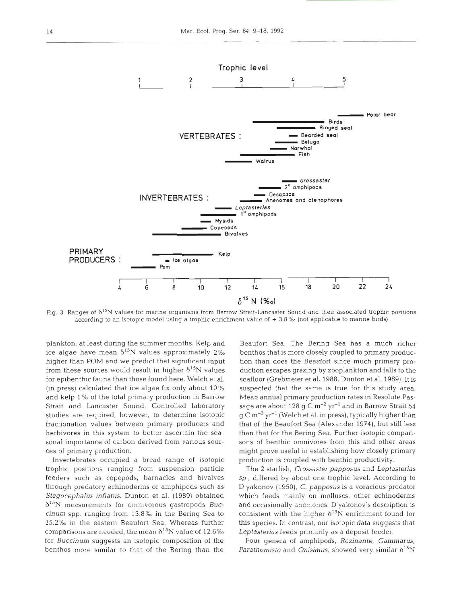

Fig. 3. Ranges of  $\delta^{15}N$  values for marine organisms from Barrow Strait-Lancaster Sound and their associated trophic positions according to an isotopic model using a trophic enrichment value of  $+3.8$  % (not applicable to marine birds)

plankton, at least during the summer months. Kelp and ice algae have mean  $\delta^{15}N$  values approximately 2% higher than POM and we predict that significant input from these sources would result in higher  $\delta^{15}N$  values for epibenthic fauna than those found here. Welch et al. (in press) calculated that ice algae fix only about 10 % and kelp 1% of the total primary production in Barrow Strait and Lancaster Sound. Controlled laboratory studies are required, however, to determine isotopic fractionation values between primary producers and herbivores in this system to better ascertain the seasonal importance of carbon derived from various sources of primary production.

Invertebrates occupied a broad range of isotopic trophic positions ranging from suspension particle feeders such as copepods, barnacles and bivalves through predatory echinoderms or amphipods such as *Stegocephalus inflatus.* Dunton et al. (1989) obtained 615N measurements for omnivorous gastropods *Buccinum* spp. ranging from 13.8%~ in the Bering Sea to 15.2%0 in the eastern Beaufort Sea. Whereas further comparisons are needed, the mean  $\delta^{15}N$  value of 12.6% for *Buccinum* suggests an isotopic composition of the benthos more similar to that of the Bering than the

Beaufort Sea. The Bering Sea has a much richer benthos that is more closely coupled to primary production than does the Beaufort since much primary production escapes grazing by zooplankton and falls to the seafloor (Grebmeier et al. 1988, Dunton et al. 1989). It is suspected that the same is true for this study area. Mean annual primary production rates in Resolute Passage are about 128 g C  $\rm m^{-2}$  yr<sup>-1</sup> and in Barrow Strait 54  $g \text{ C m}^{-2} \text{ yr}^{-1}$  (Welch et al. in press), typically higher than that of the Beaufort Sea (Alexander 1974), but still less than that for the Bering Sea. Further isotopic comparisons of benthic omnivores from this and other areas might prove useful in establishing how closely primary production is coupled with benthic productivity.

The 2 starfish, *Crossaster papposus* and *Leptasterias sp.,* differed by about one trophic level. According to D'yakonov (1950), C. *papposus* is a voracious predator which feeds mainly on molluscs, other echinoderms and occasionally anemones. D'yakonov's description is consistent with the higher  $\delta^{15}N$  enrichment found for this species. In contrast, our isotopic data suggests that *Leptasterias* feeds primarily as a deposit feeder.

Four genera of amphipods, *Rozinante, Gammarus, Parathemisto* and *Onisimus*, showed very similar  $\delta^{15}N$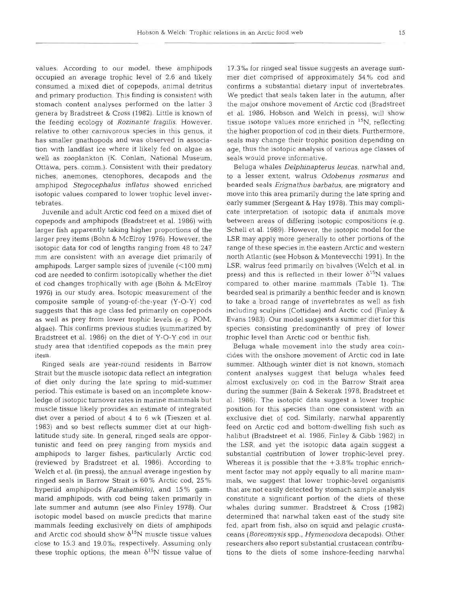values. According to our model, these amphipods occupied an average trophic level of 2.6 and likely consumed a mixed diet of copepods, animal detritus and primary production. This finding is consistent with stomach content analyses performed on the latter 3 genera by Bradstreet & Cross (1982). Little is known of the feeding ecology of Rozinante fragilis. However, relative to other carnivorous species in this genus, it has smaller gnathopods and was observed in association with landfast ice where it likely fed on algae as well as zooplankton (K. Conlan, National Museum, Ottawa, pers. comm.). Consistent with their predatory niches, anemones, ctenophores, decapods and the amphipod Stegocephalus inflatus showed enriched isotopic values compared to lower trophic level invertebrates.

Juvenile and adult Arctic cod feed on a mixed diet of copepods and amphipods (Bradstreet et al. 1986) with larger fish apparently taking higher proportions of the larger prey items (Bohn & McElroy 1976). However, the isotopic data for cod of lengths ranging from 48 to 247 mm are consistent with an average diet primarily of amphipods. Larger sample sizes of juvenile  $(<100$  mm) cod are needed to confirm isotopically whether the diet of cod changes trophically with age (Bohn & McElroy 1976) in our study area. Isotopic measurement of the composite sample of young-of-the-year (Y-0-Y) cod suggests that this age class fed primarily on copepods as well as prey from lower trophic levels (e.g. POM, algae). This confirms previous studies (summarized by Bradstreet et al. 1986) on the diet of Y-0-Y cod in our study area that identified copepods as the main prey item.

Ringed seals are year-round residents in Barrow Strait but the muscle isotopic data reflect an integration of diet only during the late spring to mid-summer period. This estimate is based on an incomplete knowledge of isotopic turnover rates in marine mammals but muscle tissue likely provides an estimate of integrated diet over a period of about 4 to 6 wk (Tieszen et al. 1983) and so best reflects summer diet at our highlatitude study site. In general, ringed seals are opportunistic and feed on prey ranging from mysids and amphipods to larger fishes, particularly Arctic cod (reviewed by Bradstreet et al. 1986). According to Welch et al. (in press), the annual average ingestion by ringed seals in Barrow Strait is 60% Arctic cod, 25% hyperiid amphipods (Parathemisto), and 15% gammarid amphipods, with cod being taken primarily in late summer and autumn (see also Finley 1978). Our isotopic model based on muscle predicts that marine mammals feeding exclusively on diets of amphipods and Arctic cod should show  $\delta^{15}N$  muscle tissue values close to 15.3 and 19.0‰, respectively. Assuming only these trophic options, the mean  $\delta^{15}N$  tissue value of

17.3%0 for ringed seal tissue suggests an average summer diet comprised of approximately 54% cod and confirms a substantial dietary input of invertebrates. We predict that seals taken later in the autumn, after the major onshore movement of Arctic cod (Bradstreet et al. 1986, Hobson and Welch in press), will show tissue isotope values more enriched in  $^{15}N$ , reflecting the higher proportion of cod in their diets. Furthermore, seals may change their trophic position depending on age, thus the isotopic analysis of various age classes of seals would prove informative.

Beluga whales *Delphinapterus leucas*, narwhal and, to a lesser extent, walrus Odobenus rosmarus and bearded seals Erignathus barbatus, are migratory and move into this area primarily during the late spring and early summer (Sergeant & Hay 1978). This may complicate interpretation of isotopic data if animals move between areas of differing isotopic compositions (e.g. Schell et al. 1989). However, the isotopic model for the LSR may apply more generally to other portions of the range of these species in the eastern Arctic and western north Atlantic (see Hobson & Montevecchi 1991). In the LSR, walrus feed primarily on bivalves (Welch et al. in press) and this is reflected in their lower  $\delta^{15}N$  values compared to other marine mammals (Table 1). The bearded seal is primarily a benthic feeder and is known to take a broad range of invertebrates as well as fish including sculpins (Cottidae) and Arctic cod (Finley & Evans 1983). Our model suggests a summer diet for this species consisting predominantly of prey of lower trophic level than Arctic cod or benthic fish.

Beluga whale movement into the study area coincides with the onshore movement of Arctic cod in late summer. Although winter diet is not known, stomach content analyses suggest that beluga whales feed almost exclusively on cod in the Barrow Strait area during the summer (Bain & Sekerak 1978, Bradstreet et al. 1986). The isotopic data suggest a lower trophic position for this species than one consistent with an exclusive diet of cod. Similarly, narwhal apparently feed on Arctic cod and bottom-dwelling fish such as halibut (Bradstreet et al. 1986, Finley & Gibb 1982) in the LSR, and yet the isotopic data again suggest a substantial contribution of lower trophic-level prey. Whereas it is possible that the  $+3.8\%$  trophic enrichment factor may not apply equally to all marine mammals, we suggest that lower trophic-level organisms that are not easily detected by stomach sample analysis constitute a significant portion of the diets of these whales during summer. Bradstreet & Cross (1982) determined that narwhal taken east of the study site fed, apart from fish, also on squid and pelagic crustaceans (Boreomysis spp., Hymenodora decapods). Other researchers also report substantial crustacean contributions to the diets of some inshore-feeding nanvhal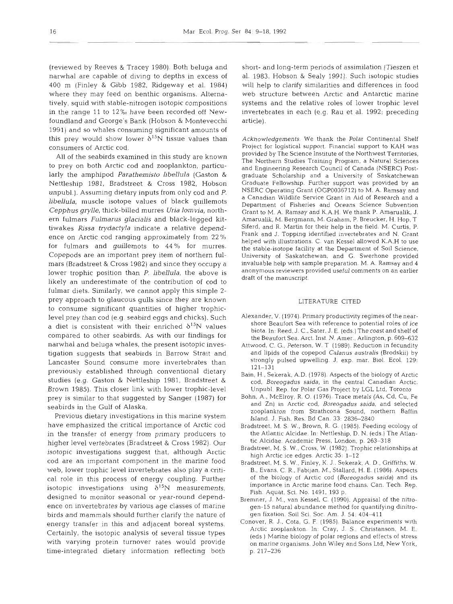(reviewed by Reeves & Tracey 1980). Both beluga and narwhal are capable of diving to depths in excess of 400 m (Finley & Gibb 1982, Ridgeway et al. 1984) where they may feed on benthic organisms. Alternatively, squid with stable-nitrogen isotopic compositions in the range 11 to 12% have been recorded off Newfoundland and George's Bank (Hobson & Montevecchi 1991) and so whales consuming significant amounts of this prey would show lower  $\delta^{15}N$  tissue values than consumers of Arctic cod.

All of the seabirds examined in this study are known to prey on both Arctic cod and zooplankton, particularly the amphipod *Parathemisto libellula* (Gaston & Nettleship 1981, Bradstreet & Cross 1982, Hobson unpubl.). Assuming dietary inputs from only cod and P. *libellula,* muscle isotope values of black guillemots *Cepphus grylle,* thick-billed murres *Uria lomvia,* northern fulmars *Fulmarus glacialis* and black-legged kittiwakes *Rissa trydactyla* indicate a relative dependence on Arctic cod ranging approximately from 22% for fulmars and guillemots to 44% for murres. Copepods are an important prey item of northern fulmars (Bradstreet & Cross 1982) and since they occupy a lower trophic position than P. *libellula,* the above is likely an underestimate of the contribution of cod to fulmar diets. Similarly, we cannot apply this simple 2 prey approach to glaucous gulls since they are known to consume significant quantities of higher trophiclevel prey than cod (e.g seabird eggs and chicks). Such a diet is consistent with their enriched  $\delta^{15}N$  values compared to other seabirds. As with our findings for nanvhal and beluga whales, the present isotopic investigation suggests that seabirds in Barrow Strait and Lancaster Sound consume more invertebrates than previously established through conventional dietary studies (e.g. Gaston & Nettleship 1981, Bradstreet & Brown 1985). This closer link with lower trophic-level prey is similar to that suggested by Sanger (1987) for seabirds in the Gulf of Alaska.

Previous dietary investigations in this marine system have emphasized the critical importance of Arctic cod in the transfer of energy from primary producers to higher level vertebrates (Bradstreet & Cross 1982). Our isotopic investigations suggest that, although Arctic cod are an important component in the marine food web, lower trophic level invertebrates also play a critical role in this process of energy coupling. Further isotopic investigations using  $\delta^{15}N$  measurements, designed to monitor seasonal or year-round dependence on invertebrates by various age classes of marine birds and mammals should further clarify the nature of energy transfer in this and adjacent boreal systems. Certainly, the isotopic analysis of several tissue types with varying protein turnover rates would provide time-integrated dietary information reflecting both

short- and long-term periods of assimilation (Tieszen et al. 1983, Hobson & Sealy 1991). Such isotopic studies will help to clarify similarities and differences in food web structure between Arctic and Antarctic marine systems and the relative roles of lower trophic level invertebrates in each (e.g. Rau et al. 1992; preceding article).

Acknowledgements. We thank the Polar Continental Shelf Project for logistical support. Financial support to KAH was provided by The Science Institute of the Northwest Territories, The Northern Studies Training Program, a Natural Sciences and Engineering Research Council of Canada (NSERC) Postgraduate Scholarship and a University of Saskatchewan Graduate Fellowship. Further support was provided by an NSERC Operating Grant (OGP0036712) to M. A. Ramsay and a Canadian Wildlife Service Grant in Aid of Research and a Department of Fisheries and Oceans Science Subvention Grant to M. A. Ramsay and K.A.H. We thank P. Amarualik, J. Amarualik, M. Bergmann, M. Graham, P. Breucker, H. Hop, T Siferd, and R. Martin for their help in the field. M. Curtis, P. Frank and J. Topping identified invertebrates and N. Grant helped with illustrations. C. van Kessel allowed K.A.H to use the stable-isotope facility at the Department of Soil Science, University of Saskatchewan, and G. Swerhone provided invaluable help with sample preparation. M. A. Ramsay and 4 anonymous reviewers provided useful comments on an earlier draft of the manuscript.

#### LITERATURE CITED

- Alexander. V. (1974). Primary productivity regimes of the nearshore Beaufort Sea with reference to potential roles of ice biota. In. Reed, J. C., Sater, J. E. (eds.) The coast and shelf of the Beaufort Sea. Arct. Inst. N. Amer., Arlington, p. 609-632
- Attwood, C. G., Peterson, W. T (1989). Reduction in fecundity and lipids of the copepod Calanus australis (Brodskii) by strongly pulsed upwelling. J. exp. mar. Biol. Ecol. 129: 121-131
- Bain, H., Sekerak, A.D. (1978). Aspects of the biology of Arctic cod, Boreogadus saida, in the central Canadian Arctic. Unpubl Rep. for Polar Gas Project by LGL Ltd, Toronto
- Bohn, A., McElroy, R. 0. (1976). Trace metals (As, Cd, Cu, Fe and Zn) in Arctic cod, Boreogadus saida, and selected zooplankton from Strathcona Sound, northern Baffin Island. J. Fish. Res. Bd Can. **33:** 2836-2840
- Bradstreet, M. S. W., Brown, R. G. (1985). Feeding ecology of the Atlantic Alcidae. In: Nettleship, D. N. (eds.) The Atlantic Alcidae. Academic Press, London, p. 263-318
- Bradstreet, M. S. W., Cross, W (1982). Trophic relationships at high Arctic ice edges. Arctic 35: 1-12
- Bradstreet, M. S. W., Finley, K. J.. Sekerak. A. D., Griffiths, W. B., Evans, C. R., Fabijan, M , Stallard, H. E. (1986) Aspects of the biology of Arctic cod (Boreogadus saida) and its importance in Arctic marine food chains. Can. Tech. Rep. Fish. Aquat. Sci. No. 1491, 193 p.
- Bremner, J. M., van Kessel, C. (1990). Appraisal of the nitrogen-15 natural abundance method for quantifying dinitrogen fixation. Soil Sci. Soc. Am. J. 54: 404-411
- Conover, R. J., Cota, G. F. (1985). Balance experiments with Arctic zooplankton. In: Cray, J. S., Christanson, M. E. (eds ) Marine biology of polar regions and effects of stress on marine organisms. John Wiley and Sons Ltd, New York. p. 217-236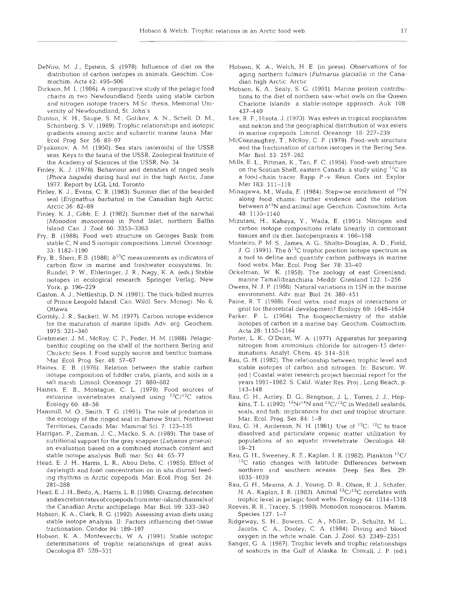- DeNiro, M. J., Epstein, S. (1978). Influence of diet on the distribution of carbon isotopes in animals. Geochim. Cosmochim. Acta 42: 495-506
- Dickson. M. L. (1986). A comparative study of the pelagic food chains in two Newfoundland fjords using stable carbon and nitrogen isotope tracers. M.Sc. thesis, Memorial University of Newfoundland, St. John's
- Dunton, K. H., Saupe, S. M.. Golikov, A. N., Schell, D. M,, Schonberg. S. V. (1989). Trophic relationships and isotopic gradients among arctic and subarctic marine fauna. Mar Ecol. Prog. Ser 56: 89-97
- D'yakonov, A. M. (1950). Sea stars (asteroids) of the USSR seas. Keys to the fauna of the USSR, Zoological Institute of the Academy of Sciences of the USSR, No. 34
- Finley, K. J. (1978). Behaviour and densities of ringed seals (Phoca hispida) during haul out in the high Arctic, June 1977. Report by LGL Ltd, Toronto
- Finley, K. J., Evans, C. R. (1983). Summer diet of the bearded seal (Erignathus barbatus) in the Canadian high Arctic. Arctic **36:** 82-89
	- Finley, K. J., Gibb, E. J. (1982). Summer diet of the narwhal (Monodon monoceros) in Pond Inlet, northern Baffin Island. Can. J. Zool. 60: 3353-3363
	- Fry, B. (1988). Food web structure on Georges Bank from stable C, N and S isotopic compositions. Limnol. Oceanogr. 33: 1182-1190
- Fry, B., Sherr, E.B. (1988).  $\delta^{13}$ C measurements as indicat carbon flow in marine and freshwater ecosystems. In: Rundel, P. W., Ehleringer, J. R., Nagy, K. A. (eds.) Stable isotopes in ecological research. Springer Verlag, New York, p. 196-229
	- Gaston, A. J., Nettleship, D. N. (1981). The thick-billed murres of Prince Leopold Island. Can. Wildl. Serv. Monogr. No. 6, Ottawa
	- Gormly, J. R., Sackett, W. M. (1977). Carbon isotope evidence for the maturation of marine lipids. Adv. org. Geochem. 1975: 321-340
	- Grebmeier, J. M., McRoy, C. P., Feder, H. M. (1988). Pelagicbenthic coupling on the shelf of the northern Bering and Chukchi Seas. I. Food supply source and benthic biomass. Mar Ecol. Prog. Ser. 48: 57-67
	- Haines, E. B. (1976). Relation between the stable carbon isotope composition of fiddler crabs, plants, and soils in a salt marsh. Limnol. Oceanogr 21 880–882
	- Haines, E. B., Montague, C. L. (1979). Food sources of estuarine invertebrates analysed using  ${}^{13}C/{}^{12}C$  ratios. Ecology 60. 48-56
	- Hammill, M. O., Smith, T G. (1991). The role of predation in the ecology of the ringed seal in Barrow Strait, Northwest Territories, Canada. Mar. Mammal Sci. 7: 123-135
	- Harrigan, P., Zieman, J. C., Macko, S. A. (1989). The base of nutritional support for the gray snapper (Lutjanus griseus): an evaluation based on a combined stomach content stable isotope analysis. Bull. mar. Sci. 44: 65-77
	- Head, E. J. H.. Harris, L. R., Abou Debs, C. (1985). Effect of daylength and fout concentration on in situ diurnal feeding rhythms in Arctic copepods. Mar. Ecol. Prog. Ser. 24: 28<sup>1</sup>
		- Head, E. J. H., Bedo, A., Harris, L. R. (1988). Grazing, defecation and excretion rates of copepods from inter-island channels of the Canadian Arctic archipelago. Mar. Biol. 99: 333-340
	- Hobson, K A., Clark, R. G. (1992). Assessing avian diets using stable isotope analysis. 11: Factors influencing diet-tissue fractionation. Condor 94: 189
		- Hobson. K. A., Montevecchi, W A. (1991). Stable isotopic determinations of trophic relationships of great auks. Oecologia 87- 528-531
- Hobson, K. A., Welch, H. E. (in press). Observations of for aging northern fulmars (Fulmarus glacialis) in the Canadian high Arctic. Arctic
- Hobson, K. A., Sealy, S. G. (1991). Marine protein contributions to the diet of northern saw-whet owls on the Queen Charlotte Islands: a stable-isotope approach. Auk 108: 437-440
- Lee, R. F., Hirota, J. (1973). Wax esters in tropical zooplan and nekton and the geographical distribution of wax esters in marine copepods. Limnol. Oceanogr 18: 227-239
	- McConnaughey, T., McRoy, C. P. (1979). Food-web structure and the fractionation of carbon isotopes in the Bering Sea. Mar Biol. 53: 25
		- Mills, E. L., Pittman, K., Tan, F. C. (1984). Food-web structure on the Scotian Shelf, eastern Canada: a study using <sup>13</sup>C as a food-chain tracer. Rapp. P.-v Reun Cons. int. Explor Mer 183: 111-118
- Minagawa, M., Wada, E. (1984). Stepwise enrichment of along food chains: further evidence and the relation between  $\delta^{15}N$  and animal age. Geochim. Cosmochim. Acta 48: 1135-1 140
	- Mizutani, H., Kabaya, Y., Wada, E. (1991). Nitrogen and carbon isotope compositions relate linearly in cormorant tissues and its diet. Isotopenpraxis 4: 166-168
	- Monteiro, P. M. S., James, A. G., Sholto-Douglas, A. D., Field, J. G. (1991). The  $\delta^{13}$ C trophic position isotope spectrum as a tool to define and quantify carbon pathways in marine food webs. Mar. Ecol. Prog. Ser 78: 33-40
	- Ockelman, W K. (1958). The zoology of east Greenland; marine Tamallibranchiata. Meddr Grønland 122: 1
		- Owens, N. J. P. (1988). Natural variations in 15N in the marine environment. Adv. mar Biol. 24: 389-451
		- Paine, R. T (1988). Food webs: road maps of interactions or grist for theoretical development? Ecology 69: 1648-1654
		- Parker. P. L. (1964). The biogeochemistry of the stable isotopes of carbon in a marine bay. Geochim. Cosmochim. Acta 28: 1155-1164
- Porter, L. K., O'Dean, W. A. (1977). Apparatus for prepare nitrogen from ammonium chloride for nitrogen-15 determinations. Analyt. Chem. 45: 514-516
	- Rau, G. H. (1982). The relationship between trophic level and stable isotopes of carbon and nitrogen. In: Bascom. W. (ed.) Coastal water research project biennial report for the years 1981-1982. S. Calif. Water Res. Proj., Long Beach, p. 143-148
	- Rau, G. H., Ainley, D. G., Bengtson, J. L, Torres, J. J., Hopkins, T. L. (1992).  $^{15}N/^{14}N$  and  $^{13}C/^{12}C$  in Weddell seabirds, seals, and fish: implications for diet and trophic structure. Mar. Ecol. Prog. Ser. 84: 1-8
	- Rau, G. H., Anderson, N. H. (1981). Use of  $^{13}C:~^{12}C$  to trace dissolved and particulate organic matter utilization by populations of an aquatic invertebrate. Oecologia 48:  $19 - 21$
	- Rau, G. H., Sweeney, R. E., Kaplan, I. R. (1982). Plankton  $^{13}$ C/  $^{12}$ C ratio changes with latitude: Differences between northern and southern oceans. Deep Sea Res. 29: 1035-1039
- Rau, G. H., Mearns, A. J., Young, D. R., Olson, R. J., Sch H. A., Kaplan, I. R. (1983). Animal <sup>13</sup>C/<sup>12</sup>C correlates with trophic level in pelagic food webs. Ecology 64: 1314-1318
	- Reeves, R. R., Tracey, S (1980). Monodon monoceros. Mamm. Species 127: 1-7
	- Ridgeway, S. H., Bowers, C A, Miller, D., Schultz, M. L., Jacobs, C. A.. Dooley, C A (1984). Diving and blood oxygen in the white whale. Can. J. Zool. 63: 2349-2351
	- Sanger, G. A. (1987). Trophic levels and trophic relationships of seabirds in the Gulf of Alaska. In: Croxall, J. P. (ed.)